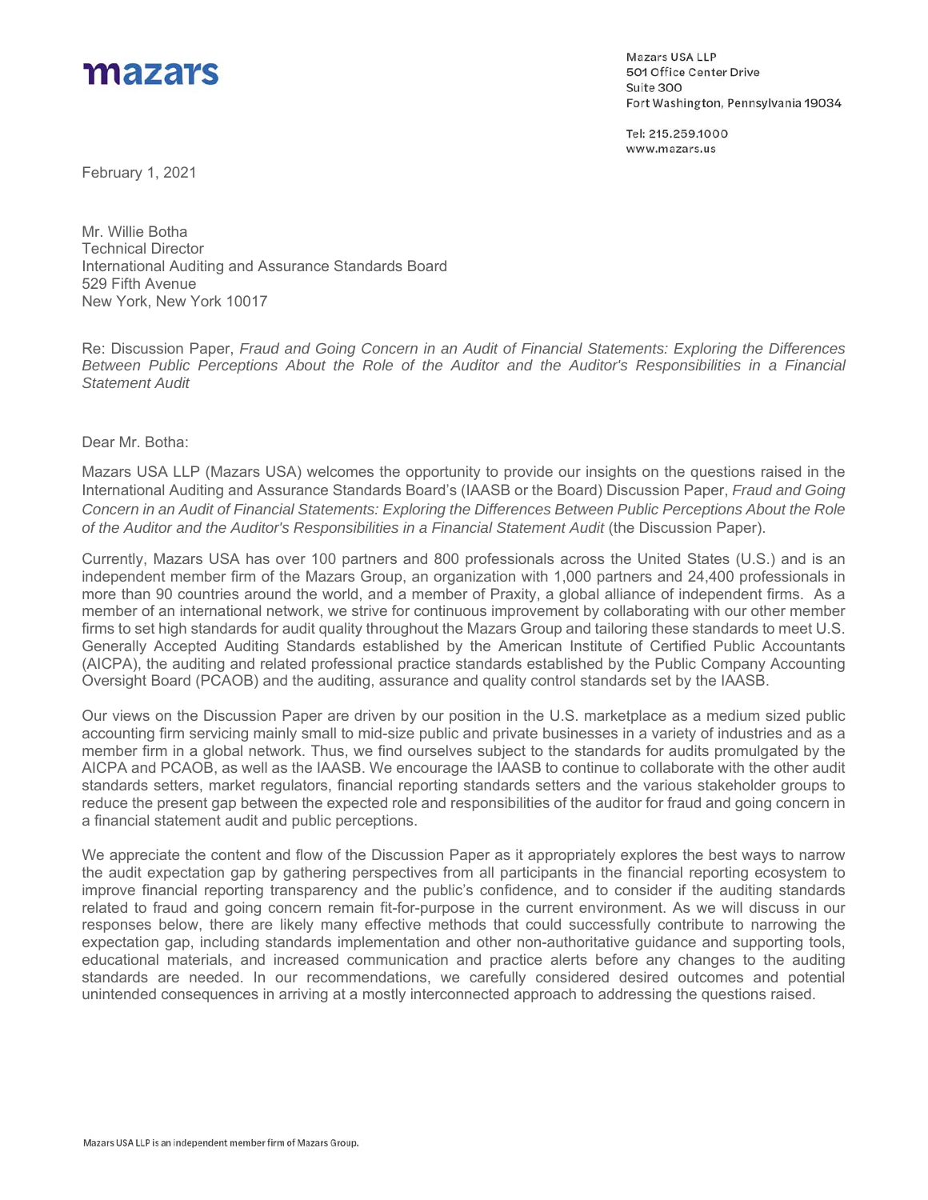

Mazars USA LLP 501 Office Center Drive Suite 300 Fort Washington, Pennsylvania 19034

Tel: 215.259.1000 www.mazars.us

February 1, 2021

Mr. Willie Botha Technical Director International Auditing and Assurance Standards Board 529 Fifth Avenue New York, New York 10017

Re: Discussion Paper, *Fraud and Going Concern in an Audit of Financial Statements: Exploring the Differences Between Public Perceptions About the Role of the Auditor and the Auditor's Responsibilities in a Financial Statement Audit* 

## Dear Mr. Botha:

Mazars USA LLP (Mazars USA) welcomes the opportunity to provide our insights on the questions raised in the International Auditing and Assurance Standards Board's (IAASB or the Board) Discussion Paper, *Fraud and Going Concern in an Audit of Financial Statements: Exploring the Differences Between Public Perceptions About the Role of the Auditor and the Auditor's Responsibilities in a Financial Statement Audit* (the Discussion Paper).

Currently, Mazars USA has over 100 partners and 800 professionals across the United States (U.S.) and is an independent member firm of the Mazars Group, an organization with 1,000 partners and 24,400 professionals in more than 90 countries around the world, and a member of Praxity, a global alliance of independent firms. As a member of an international network, we strive for continuous improvement by collaborating with our other member firms to set high standards for audit quality throughout the Mazars Group and tailoring these standards to meet U.S. Generally Accepted Auditing Standards established by the American Institute of Certified Public Accountants (AICPA), the auditing and related professional practice standards established by the Public Company Accounting Oversight Board (PCAOB) and the auditing, assurance and quality control standards set by the IAASB.

Our views on the Discussion Paper are driven by our position in the U.S. marketplace as a medium sized public accounting firm servicing mainly small to mid-size public and private businesses in a variety of industries and as a member firm in a global network. Thus, we find ourselves subject to the standards for audits promulgated by the AICPA and PCAOB, as well as the IAASB. We encourage the IAASB to continue to collaborate with the other audit standards setters, market regulators, financial reporting standards setters and the various stakeholder groups to reduce the present gap between the expected role and responsibilities of the auditor for fraud and going concern in a financial statement audit and public perceptions.

We appreciate the content and flow of the Discussion Paper as it appropriately explores the best ways to narrow the audit expectation gap by gathering perspectives from all participants in the financial reporting ecosystem to improve financial reporting transparency and the public's confidence, and to consider if the auditing standards related to fraud and going concern remain fit-for-purpose in the current environment. As we will discuss in our responses below, there are likely many effective methods that could successfully contribute to narrowing the expectation gap, including standards implementation and other non-authoritative guidance and supporting tools, educational materials, and increased communication and practice alerts before any changes to the auditing standards are needed. In our recommendations, we carefully considered desired outcomes and potential unintended consequences in arriving at a mostly interconnected approach to addressing the questions raised.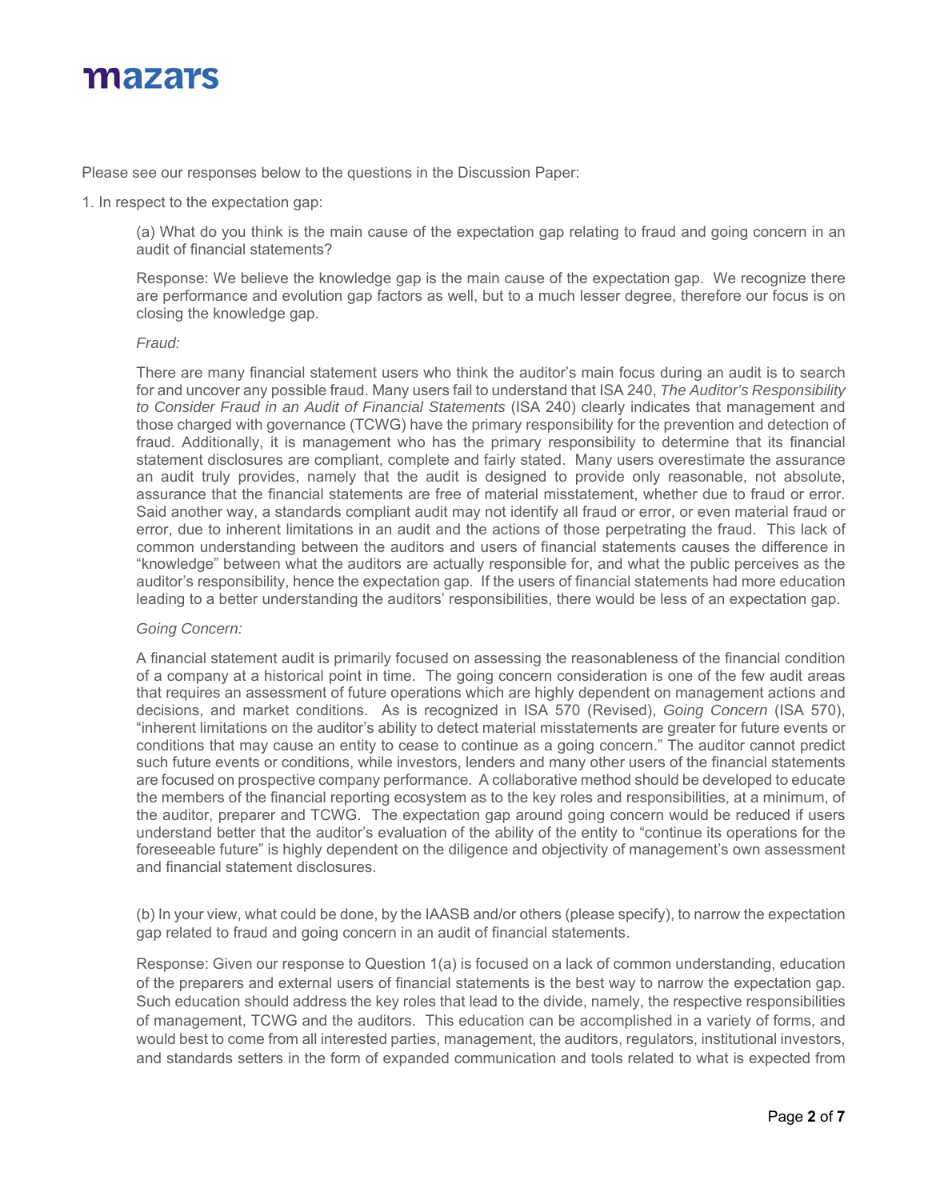

Please see our responses below to the questions in the Discussion Paper:

1. In respect to the expectation gap:

(a) What do you think is the main cause of the expectation gap relating to fraud and going concern in an audit of financial statements?

Response: We believe the knowledge gap is the main cause of the expectation gap. We recognize there are performance and evolution gap factors as well, but to a much lesser degree, therefore our focus is on closing the knowledge gap.

## *Fraud:*

There are many financial statement users who think the auditor's main focus during an audit is to search for and uncover any possible fraud. Many users fail to understand that ISA 240, *The Auditor's Responsibility to Consider Fraud in an Audit of Financial Statements* (ISA 240) clearly indicates that management and those charged with governance (TCWG) have the primary responsibility for the prevention and detection of fraud. Additionally, it is management who has the primary responsibility to determine that its financial statement disclosures are compliant, complete and fairly stated. Many users overestimate the assurance an audit truly provides, namely that the audit is designed to provide only reasonable, not absolute, assurance that the financial statements are free of material misstatement, whether due to fraud or error. Said another way, a standards compliant audit may not identify all fraud or error, or even material fraud or error, due to inherent limitations in an audit and the actions of those perpetrating the fraud. This lack of common understanding between the auditors and users of financial statements causes the difference in "knowledge" between what the auditors are actually responsible for, and what the public perceives as the auditor's responsibility, hence the expectation gap. If the users of financial statements had more education leading to a better understanding the auditors' responsibilities, there would be less of an expectation gap.

## *Going Concern:*

A financial statement audit is primarily focused on assessing the reasonableness of the financial condition of a company at a historical point in time. The going concern consideration is one of the few audit areas that requires an assessment of future operations which are highly dependent on management actions and decisions, and market conditions. As is recognized in ISA 570 (Revised), *Going Concern* (ISA 570), "inherent limitations on the auditor's ability to detect material misstatements are greater for future events or conditions that may cause an entity to cease to continue as a going concern." The auditor cannot predict such future events or conditions, while investors, lenders and many other users of the financial statements are focused on prospective company performance. A collaborative method should be developed to educate the members of the financial reporting ecosystem as to the key roles and responsibilities, at a minimum, of the auditor, preparer and TCWG. The expectation gap around going concern would be reduced if users understand better that the auditor's evaluation of the ability of the entity to "continue its operations for the foreseeable future" is highly dependent on the diligence and objectivity of management's own assessment and financial statement disclosures.

(b) In your view, what could be done, by the IAASB and/or others (please specify), to narrow the expectation gap related to fraud and going concern in an audit of financial statements.

Response: Given our response to Question 1(a) is focused on a lack of common understanding, education of the preparers and external users of financial statements is the best way to narrow the expectation gap. Such education should address the key roles that lead to the divide, namely, the respective responsibilities of management, TCWG and the auditors. This education can be accomplished in a variety of forms, and would best to come from all interested parties, management, the auditors, regulators, institutional investors, and standards setters in the form of expanded communication and tools related to what is expected from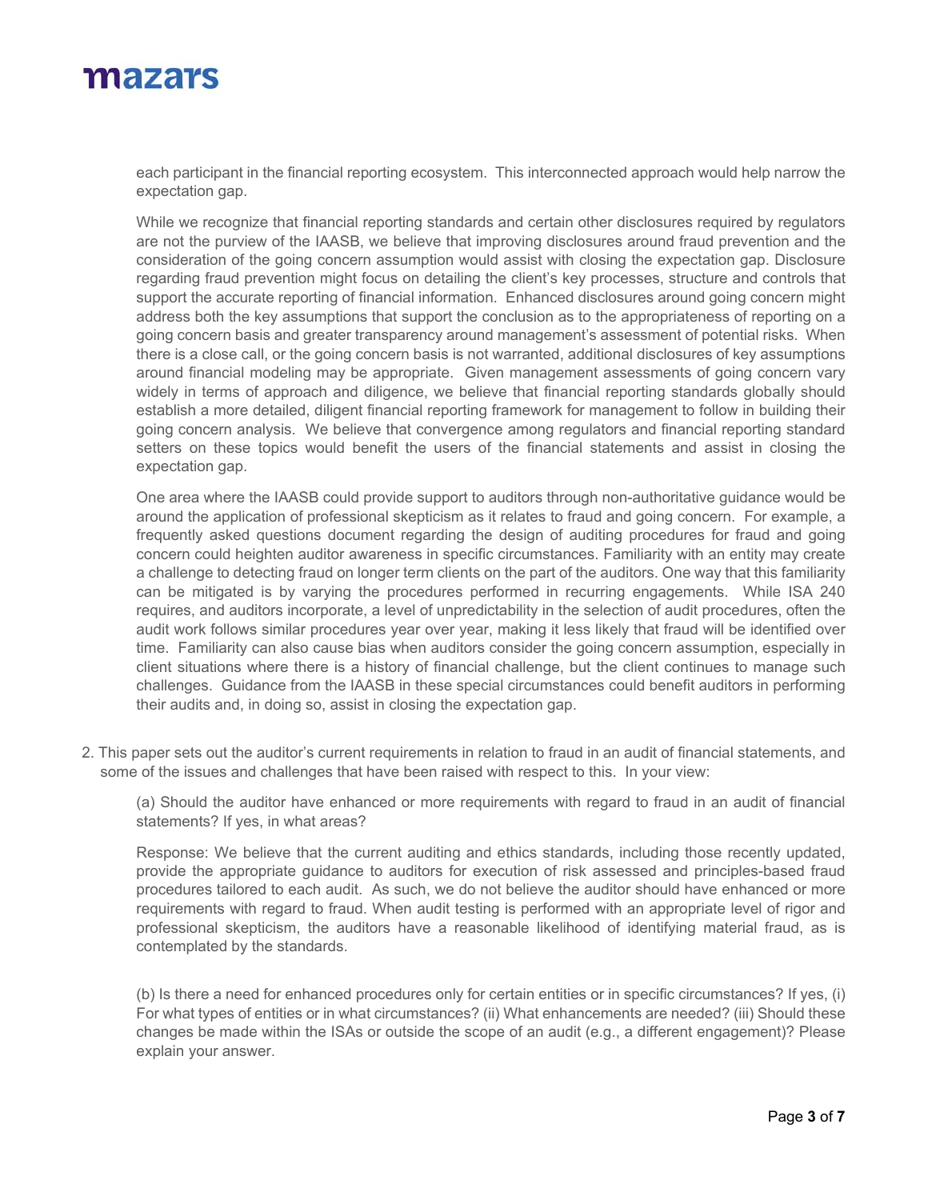

each participant in the financial reporting ecosystem. This interconnected approach would help narrow the expectation gap.

While we recognize that financial reporting standards and certain other disclosures required by regulators are not the purview of the IAASB, we believe that improving disclosures around fraud prevention and the consideration of the going concern assumption would assist with closing the expectation gap. Disclosure regarding fraud prevention might focus on detailing the client's key processes, structure and controls that support the accurate reporting of financial information. Enhanced disclosures around going concern might address both the key assumptions that support the conclusion as to the appropriateness of reporting on a going concern basis and greater transparency around management's assessment of potential risks. When there is a close call, or the going concern basis is not warranted, additional disclosures of key assumptions around financial modeling may be appropriate. Given management assessments of going concern vary widely in terms of approach and diligence, we believe that financial reporting standards globally should establish a more detailed, diligent financial reporting framework for management to follow in building their going concern analysis. We believe that convergence among regulators and financial reporting standard setters on these topics would benefit the users of the financial statements and assist in closing the expectation gap.

One area where the IAASB could provide support to auditors through non-authoritative guidance would be around the application of professional skepticism as it relates to fraud and going concern. For example, a frequently asked questions document regarding the design of auditing procedures for fraud and going concern could heighten auditor awareness in specific circumstances. Familiarity with an entity may create a challenge to detecting fraud on longer term clients on the part of the auditors. One way that this familiarity can be mitigated is by varying the procedures performed in recurring engagements. While ISA 240 requires, and auditors incorporate, a level of unpredictability in the selection of audit procedures, often the audit work follows similar procedures year over year, making it less likely that fraud will be identified over time. Familiarity can also cause bias when auditors consider the going concern assumption, especially in client situations where there is a history of financial challenge, but the client continues to manage such challenges. Guidance from the IAASB in these special circumstances could benefit auditors in performing their audits and, in doing so, assist in closing the expectation gap.

2. This paper sets out the auditor's current requirements in relation to fraud in an audit of financial statements, and some of the issues and challenges that have been raised with respect to this. In your view:

(a) Should the auditor have enhanced or more requirements with regard to fraud in an audit of financial statements? If yes, in what areas?

Response: We believe that the current auditing and ethics standards, including those recently updated, provide the appropriate guidance to auditors for execution of risk assessed and principles-based fraud procedures tailored to each audit. As such, we do not believe the auditor should have enhanced or more requirements with regard to fraud. When audit testing is performed with an appropriate level of rigor and professional skepticism, the auditors have a reasonable likelihood of identifying material fraud, as is contemplated by the standards.

(b) Is there a need for enhanced procedures only for certain entities or in specific circumstances? If yes, (i) For what types of entities or in what circumstances? (ii) What enhancements are needed? (iii) Should these changes be made within the ISAs or outside the scope of an audit (e.g., a different engagement)? Please explain your answer.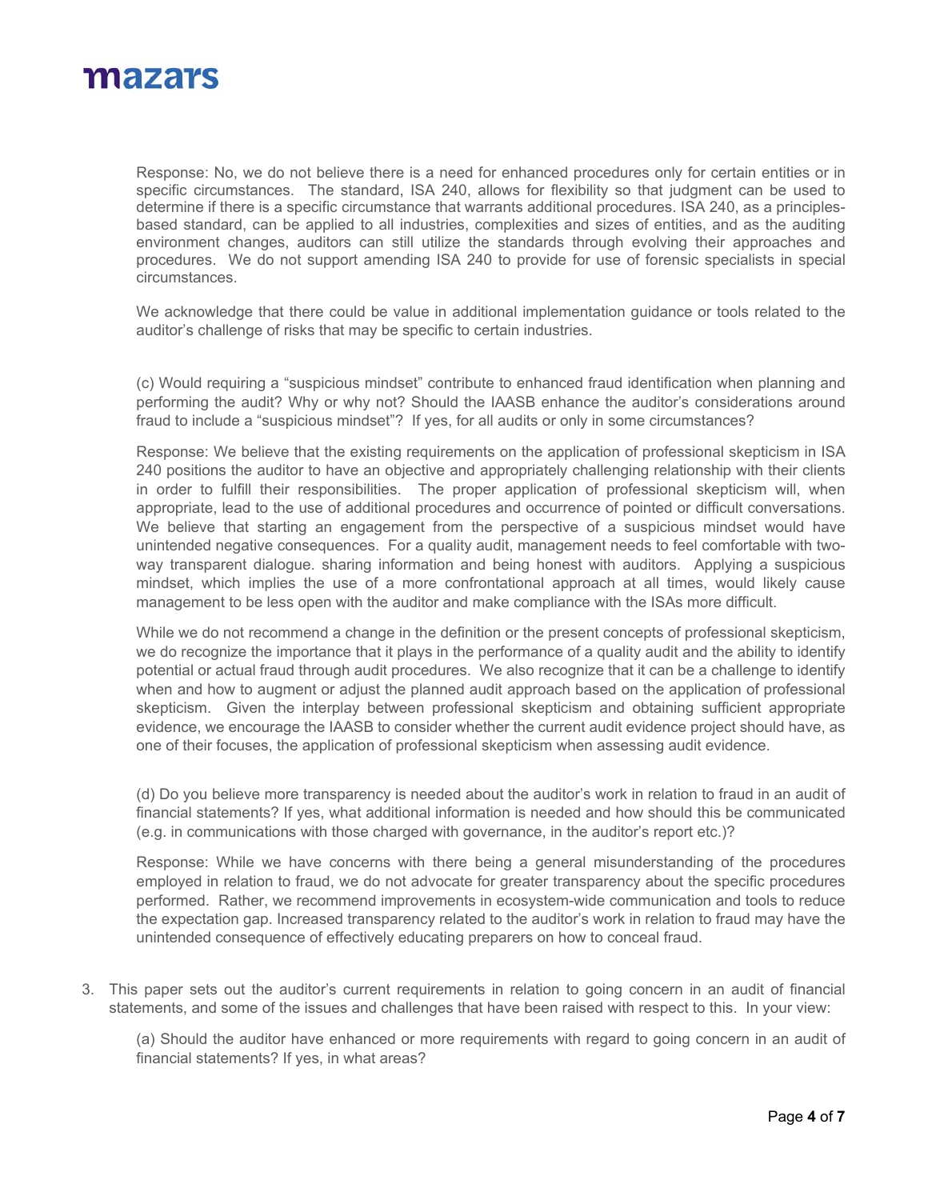

Response: No, we do not believe there is a need for enhanced procedures only for certain entities or in specific circumstances. The standard, ISA 240, allows for flexibility so that judgment can be used to determine if there is a specific circumstance that warrants additional procedures. ISA 240, as a principlesbased standard, can be applied to all industries, complexities and sizes of entities, and as the auditing environment changes, auditors can still utilize the standards through evolving their approaches and procedures. We do not support amending ISA 240 to provide for use of forensic specialists in special circumstances.

We acknowledge that there could be value in additional implementation guidance or tools related to the auditor's challenge of risks that may be specific to certain industries.

(c) Would requiring a "suspicious mindset" contribute to enhanced fraud identification when planning and performing the audit? Why or why not? Should the IAASB enhance the auditor's considerations around fraud to include a "suspicious mindset"? If yes, for all audits or only in some circumstances?

Response: We believe that the existing requirements on the application of professional skepticism in ISA 240 positions the auditor to have an objective and appropriately challenging relationship with their clients in order to fulfill their responsibilities. The proper application of professional skepticism will, when appropriate, lead to the use of additional procedures and occurrence of pointed or difficult conversations. We believe that starting an engagement from the perspective of a suspicious mindset would have unintended negative consequences. For a quality audit, management needs to feel comfortable with twoway transparent dialogue. sharing information and being honest with auditors. Applying a suspicious mindset, which implies the use of a more confrontational approach at all times, would likely cause management to be less open with the auditor and make compliance with the ISAs more difficult.

While we do not recommend a change in the definition or the present concepts of professional skepticism, we do recognize the importance that it plays in the performance of a quality audit and the ability to identify potential or actual fraud through audit procedures. We also recognize that it can be a challenge to identify when and how to augment or adjust the planned audit approach based on the application of professional skepticism. Given the interplay between professional skepticism and obtaining sufficient appropriate evidence, we encourage the IAASB to consider whether the current audit evidence project should have, as one of their focuses, the application of professional skepticism when assessing audit evidence.

(d) Do you believe more transparency is needed about the auditor's work in relation to fraud in an audit of financial statements? If yes, what additional information is needed and how should this be communicated (e.g. in communications with those charged with governance, in the auditor's report etc.)?

Response: While we have concerns with there being a general misunderstanding of the procedures employed in relation to fraud, we do not advocate for greater transparency about the specific procedures performed. Rather, we recommend improvements in ecosystem-wide communication and tools to reduce the expectation gap. Increased transparency related to the auditor's work in relation to fraud may have the unintended consequence of effectively educating preparers on how to conceal fraud.

3. This paper sets out the auditor's current requirements in relation to going concern in an audit of financial statements, and some of the issues and challenges that have been raised with respect to this. In your view:

(a) Should the auditor have enhanced or more requirements with regard to going concern in an audit of financial statements? If yes, in what areas?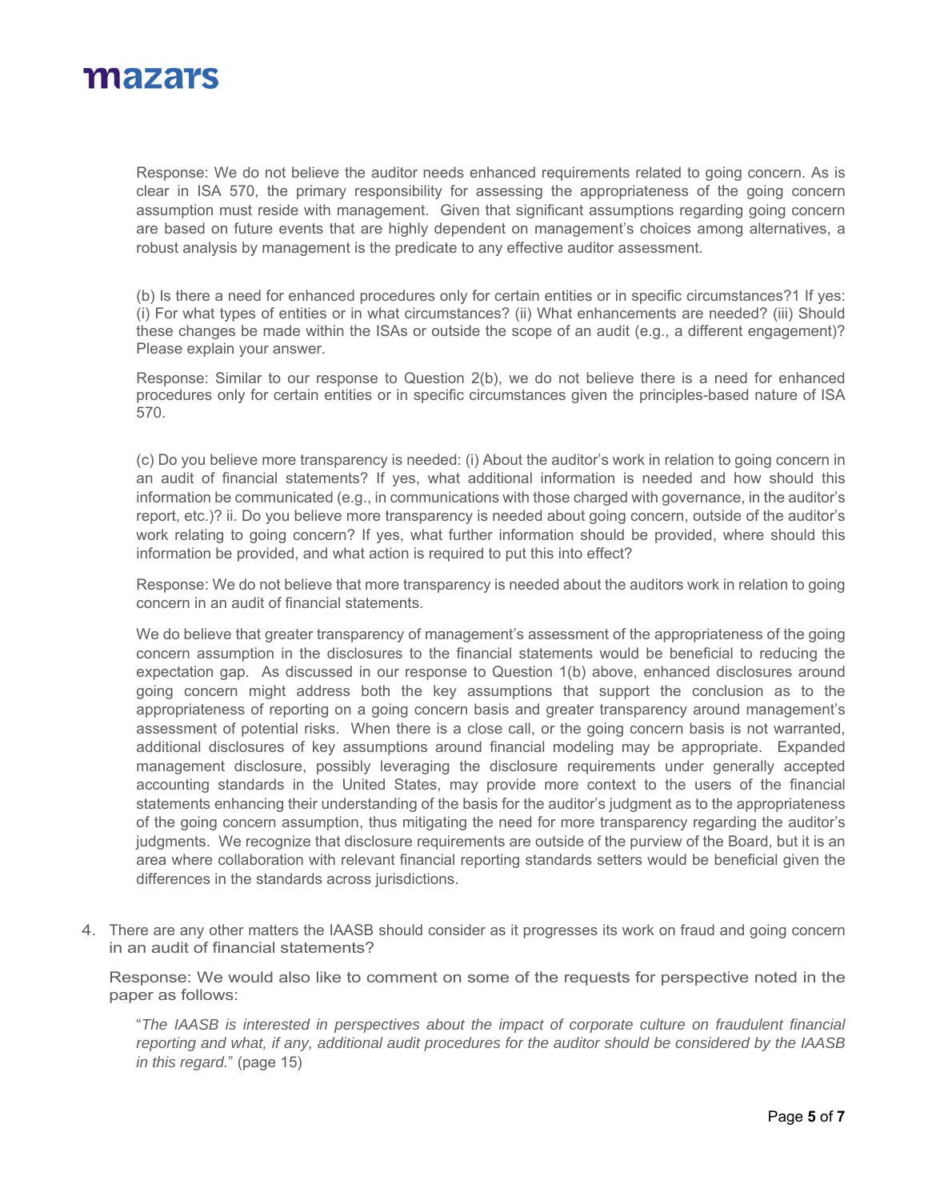

Response: We do not believe the auditor needs enhanced requirements related to going concern. As is clear in ISA 570, the primary responsibility for assessing the appropriateness of the going concern assumption must reside with management. Given that significant assumptions regarding going concern are based on future events that are highly dependent on management's choices among alternatives, a robust analysis by management is the predicate to any effective auditor assessment.

(b) Is there a need for enhanced procedures only for certain entities or in specific circumstances?1 If yes: (i) For what types of entities or in what circumstances? (ii) What enhancements are needed? (iii) Should these changes be made within the ISAs or outside the scope of an audit (e.g., a different engagement)? Please explain your answer.

Response: Similar to our response to Question 2(b), we do not believe there is a need for enhanced procedures only for certain entities or in specific circumstances given the principles-based nature of ISA 570.

(c) Do you believe more transparency is needed: (i) About the auditor's work in relation to going concern in an audit of financial statements? If yes, what additional information is needed and how should this information be communicated (e.g., in communications with those charged with governance, in the auditor's report, etc.)? ii. Do you believe more transparency is needed about going concern, outside of the auditor's work relating to going concern? If yes, what further information should be provided, where should this information be provided, and what action is required to put this into effect?

Response: We do not believe that more transparency is needed about the auditors work in relation to going concern in an audit of financial statements.

We do believe that greater transparency of management's assessment of the appropriateness of the going concern assumption in the disclosures to the financial statements would be beneficial to reducing the expectation gap. As discussed in our response to Question 1(b) above, enhanced disclosures around going concern might address both the key assumptions that support the conclusion as to the appropriateness of reporting on a going concern basis and greater transparency around management's assessment of potential risks. When there is a close call, or the going concern basis is not warranted, additional disclosures of key assumptions around financial modeling may be appropriate. Expanded management disclosure, possibly leveraging the disclosure requirements under generally accepted accounting standards in the United States, may provide more context to the users of the financial statements enhancing their understanding of the basis for the auditor's judgment as to the appropriateness of the going concern assumption, thus mitigating the need for more transparency regarding the auditor's judgments. We recognize that disclosure requirements are outside of the purview of the Board, but it is an area where collaboration with relevant financial reporting standards setters would be beneficial given the differences in the standards across jurisdictions.

4. There are any other matters the IAASB should consider as it progresses its work on fraud and going concern in an audit of financial statements?

Response: We would also like to comment on some of the requests for perspective noted in the paper as follows:

"*The IAASB is interested in perspectives about the impact of corporate culture on fraudulent financial reporting and what, if any, additional audit procedures for the auditor should be considered by the IAASB in this regard.*" (page 15)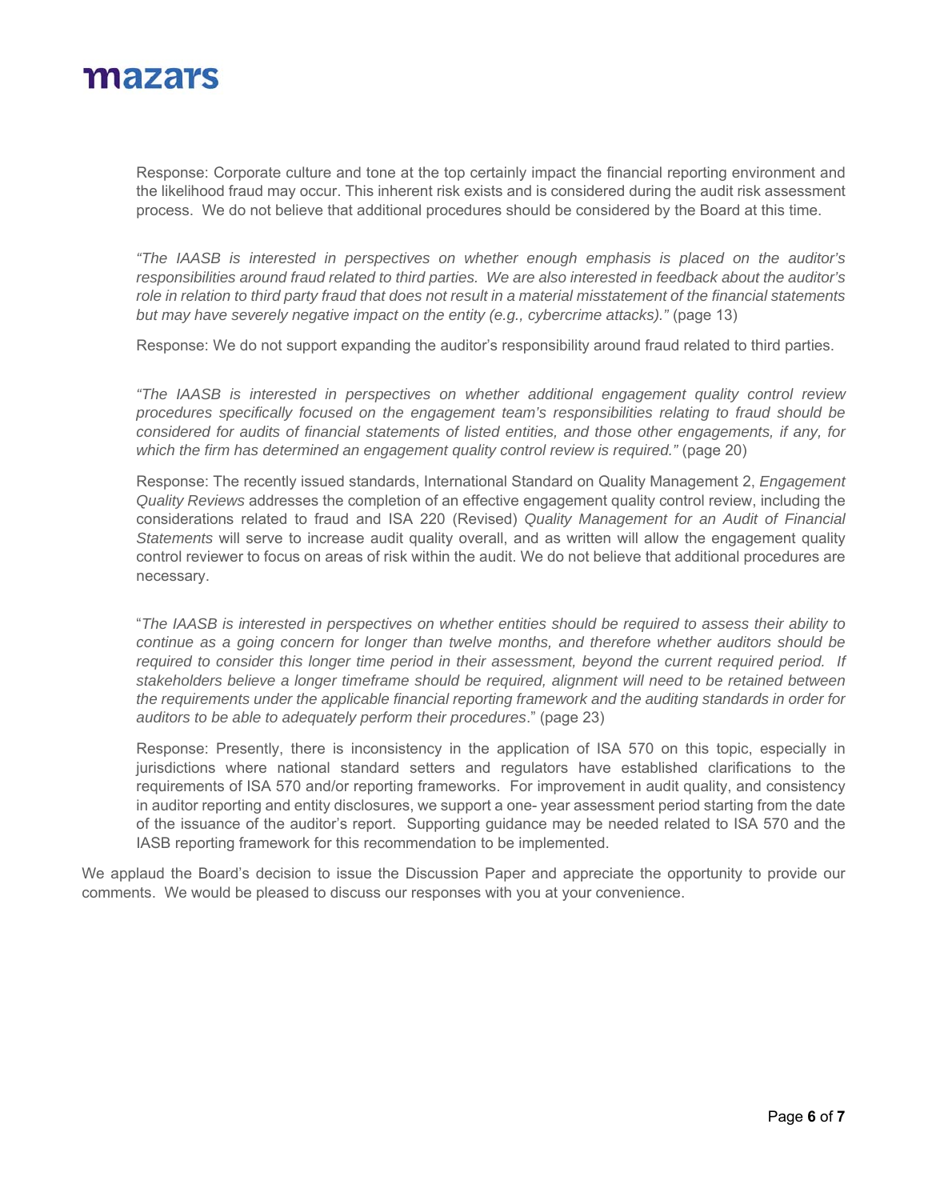

Response: Corporate culture and tone at the top certainly impact the financial reporting environment and the likelihood fraud may occur. This inherent risk exists and is considered during the audit risk assessment process. We do not believe that additional procedures should be considered by the Board at this time.

*"The IAASB is interested in perspectives on whether enough emphasis is placed on the auditor's responsibilities around fraud related to third parties. We are also interested in feedback about the auditor's role in relation to third party fraud that does not result in a material misstatement of the financial statements but may have severely negative impact on the entity (e.g., cybercrime attacks).*" (page 13)

Response: We do not support expanding the auditor's responsibility around fraud related to third parties.

*"The IAASB is interested in perspectives on whether additional engagement quality control review procedures specifically focused on the engagement team's responsibilities relating to fraud should be considered for audits of financial statements of listed entities, and those other engagements, if any, for which the firm has determined an engagement quality control review is required."* (page 20)

Response: The recently issued standards, International Standard on Quality Management 2, *Engagement Quality Reviews* addresses the completion of an effective engagement quality control review, including the considerations related to fraud and ISA 220 (Revised) *Quality Management for an Audit of Financial Statements* will serve to increase audit quality overall, and as written will allow the engagement quality control reviewer to focus on areas of risk within the audit. We do not believe that additional procedures are necessary.

"*The IAASB is interested in perspectives on whether entities should be required to assess their ability to continue as a going concern for longer than twelve months, and therefore whether auditors should be*  required to consider this longer time period in their assessment, beyond the current required period. If *stakeholders believe a longer timeframe should be required, alignment will need to be retained between the requirements under the applicable financial reporting framework and the auditing standards in order for auditors to be able to adequately perform their procedures*." (page 23)

Response: Presently, there is inconsistency in the application of ISA 570 on this topic, especially in jurisdictions where national standard setters and regulators have established clarifications to the requirements of ISA 570 and/or reporting frameworks. For improvement in audit quality, and consistency in auditor reporting and entity disclosures, we support a one- year assessment period starting from the date of the issuance of the auditor's report. Supporting guidance may be needed related to ISA 570 and the IASB reporting framework for this recommendation to be implemented.

We applaud the Board's decision to issue the Discussion Paper and appreciate the opportunity to provide our comments. We would be pleased to discuss our responses with you at your convenience.